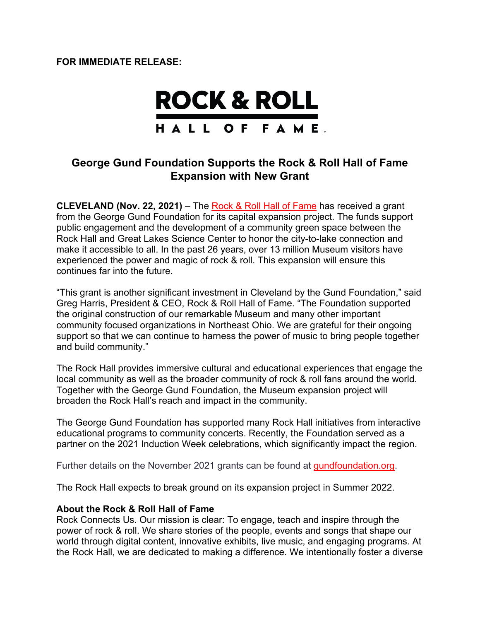**FOR IMMEDIATE RELEASE:**



## **George Gund Foundation Supports the Rock & Roll Hall of Fame Expansion with New Grant**

**CLEVELAND (Nov. 22, 2021)** – The Rock & Roll Hall of Fame has received a grant from the George Gund Foundation for its capital expansion project. The funds support public engagement and the development of a community green space between the Rock Hall and Great Lakes Science Center to honor the city-to-lake connection and make it accessible to all. In the past 26 years, over 13 million Museum visitors have experienced the power and magic of rock & roll. This expansion will ensure this continues far into the future.

"This grant is another significant investment in Cleveland by the Gund Foundation," said Greg Harris, President & CEO, Rock & Roll Hall of Fame. "The Foundation supported the original construction of our remarkable Museum and many other important community focused organizations in Northeast Ohio. We are grateful for their ongoing support so that we can continue to harness the power of music to bring people together and build community."

The Rock Hall provides immersive cultural and educational experiences that engage the local community as well as the broader community of rock & roll fans around the world. Together with the George Gund Foundation, the Museum expansion project will broaden the Rock Hall's reach and impact in the community.

The George Gund Foundation has supported many Rock Hall initiatives from interactive educational programs to community concerts. Recently, the Foundation served as a partner on the 2021 Induction Week celebrations, which significantly impact the region.

Further details on the November 2021 grants can be found at gundfoundation.org.

The Rock Hall expects to break ground on its expansion project in Summer 2022.

## **About the Rock & Roll Hall of Fame**

Rock Connects Us. Our mission is clear: To engage, teach and inspire through the power of rock & roll. We share stories of the people, events and songs that shape our world through digital content, innovative exhibits, live music, and engaging programs. At the Rock Hall, we are dedicated to making a difference. We intentionally foster a diverse